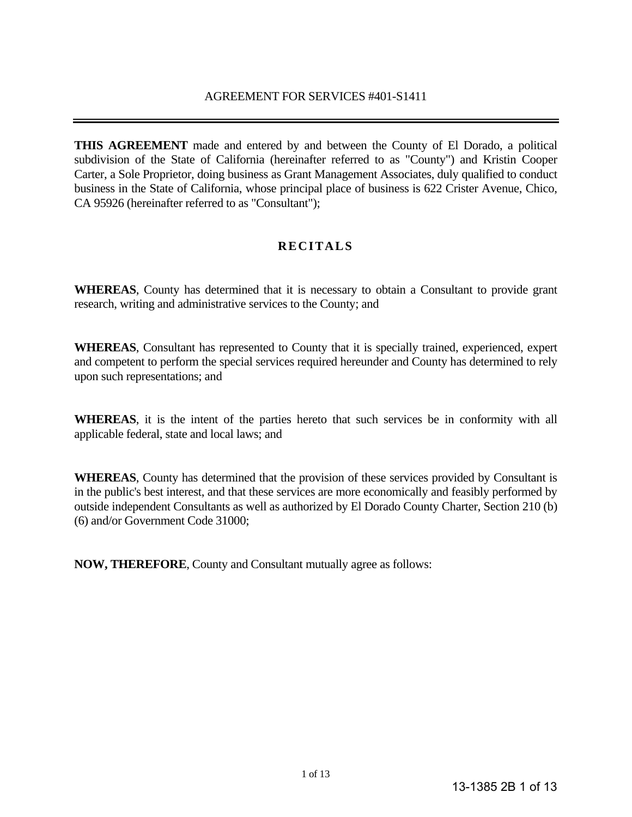**THIS AGREEMENT** made and entered by and between the County of El Dorado, a political subdivision of the State of California (hereinafter referred to as "County") and Kristin Cooper Carter, a Sole Proprietor, doing business as Grant Management Associates, duly qualified to conduct business in the State of California, whose principal place of business is 622 Crister Avenue, Chico, CA 95926 (hereinafter referred to as "Consultant");

# **RECITALS**

**WHEREAS**, County has determined that it is necessary to obtain a Consultant to provide grant research, writing and administrative services to the County; and

**WHEREAS**, Consultant has represented to County that it is specially trained, experienced, expert and competent to perform the special services required hereunder and County has determined to rely upon such representations; and

**WHEREAS**, it is the intent of the parties hereto that such services be in conformity with all applicable federal, state and local laws; and

**WHEREAS**, County has determined that the provision of these services provided by Consultant is in the public's best interest, and that these services are more economically and feasibly performed by outside independent Consultants as well as authorized by El Dorado County Charter, Section 210 (b) (6) and/or Government Code 31000;

**NOW, THEREFORE**, County and Consultant mutually agree as follows: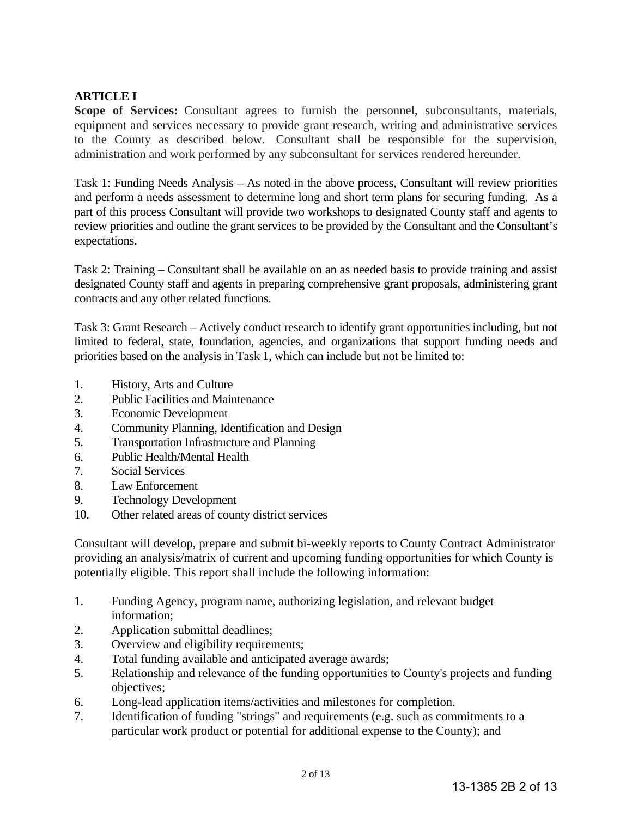# **ARTICLE I**

**Scope of Services:** Consultant agrees to furnish the personnel, subconsultants, materials, equipment and services necessary to provide grant research, writing and administrative services to the County as described below. Consultant shall be responsible for the supervision, administration and work performed by any subconsultant for services rendered hereunder.

Task 1: Funding Needs Analysis – As noted in the above process, Consultant will review priorities and perform a needs assessment to determine long and short term plans for securing funding. As a part of this process Consultant will provide two workshops to designated County staff and agents to review priorities and outline the grant services to be provided by the Consultant and the Consultant's expectations.

Task 2: Training – Consultant shall be available on an as needed basis to provide training and assist designated County staff and agents in preparing comprehensive grant proposals, administering grant contracts and any other related functions.

Task 3: Grant Research – Actively conduct research to identify grant opportunities including, but not limited to federal, state, foundation, agencies, and organizations that support funding needs and priorities based on the analysis in Task 1, which can include but not be limited to:

- 1. History, Arts and Culture
- 2. Public Facilities and Maintenance
- 3. Economic Development
- 4. Community Planning, Identification and Design
- 5. Transportation Infrastructure and Planning
- 6. Public Health/Mental Health
- 7. Social Services
- 8. Law Enforcement
- 9. Technology Development
- 10. Other related areas of county district services

Consultant will develop, prepare and submit bi-weekly reports to County Contract Administrator providing an analysis/matrix of current and upcoming funding opportunities for which County is potentially eligible. This report shall include the following information:

- 1. Funding Agency, program name, authorizing legislation, and relevant budget information;
- 2. Application submittal deadlines;
- 3. Overview and eligibility requirements;
- 4. Total funding available and anticipated average awards;
- 5. Relationship and relevance of the funding opportunities to County's projects and funding objectives;
- 6. Long-lead application items/activities and milestones for completion.
- 7. Identification of funding "strings" and requirements (e.g. such as commitments to a particular work product or potential for additional expense to the County); and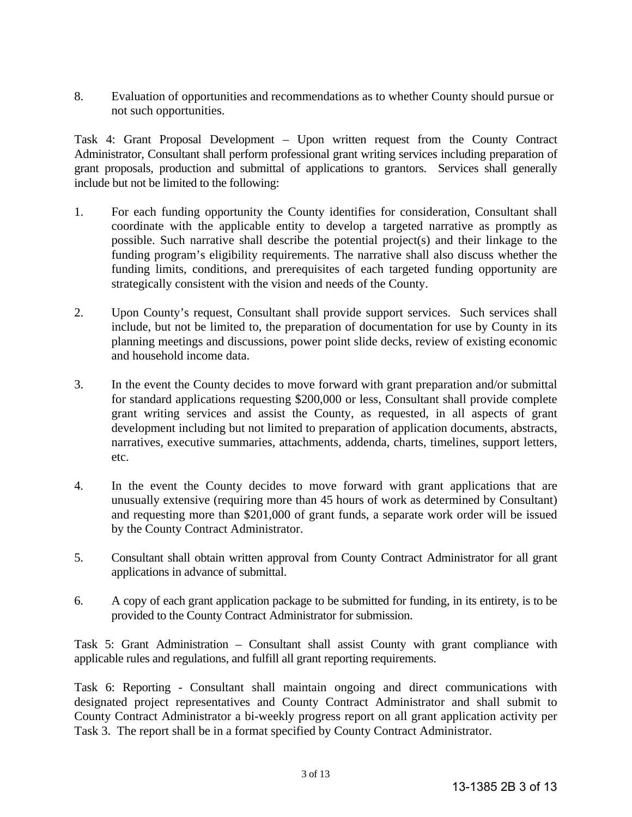8. Evaluation of opportunities and recommendations as to whether County should pursue or not such opportunities.

Task 4: Grant Proposal Development – Upon written request from the County Contract Administrator, Consultant shall perform professional grant writing services including preparation of grant proposals, production and submittal of applications to grantors. Services shall generally include but not be limited to the following:

- 1. For each funding opportunity the County identifies for consideration, Consultant shall coordinate with the applicable entity to develop a targeted narrative as promptly as possible. Such narrative shall describe the potential project(s) and their linkage to the funding program's eligibility requirements. The narrative shall also discuss whether the funding limits, conditions, and prerequisites of each targeted funding opportunity are strategically consistent with the vision and needs of the County.
- 2. Upon County's request, Consultant shall provide support services. Such services shall include, but not be limited to, the preparation of documentation for use by County in its planning meetings and discussions, power point slide decks, review of existing economic and household income data.
- 3. In the event the County decides to move forward with grant preparation and/or submittal for standard applications requesting \$200,000 or less, Consultant shall provide complete grant writing services and assist the County, as requested, in all aspects of grant development including but not limited to preparation of application documents, abstracts, narratives, executive summaries, attachments, addenda, charts, timelines, support letters, etc.
- 4. In the event the County decides to move forward with grant applications that are unusually extensive (requiring more than 45 hours of work as determined by Consultant) and requesting more than \$201,000 of grant funds, a separate work order will be issued by the County Contract Administrator.
- 5. Consultant shall obtain written approval from County Contract Administrator for all grant applications in advance of submittal.
- 6. A copy of each grant application package to be submitted for funding, in its entirety, is to be provided to the County Contract Administrator for submission.

Task 5: Grant Administration – Consultant shall assist County with grant compliance with applicable rules and regulations, and fulfill all grant reporting requirements.

Task 6: Reporting - Consultant shall maintain ongoing and direct communications with designated project representatives and County Contract Administrator and shall submit to County Contract Administrator a bi-weekly progress report on all grant application activity per Task 3. The report shall be in a format specified by County Contract Administrator.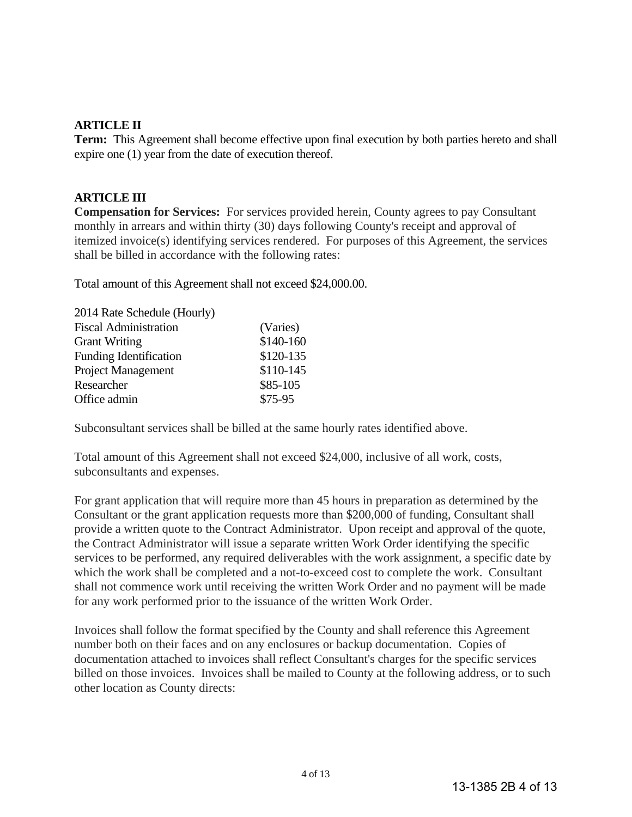## **ARTICLE II**

**Term:** This Agreement shall become effective upon final execution by both parties hereto and shall expire one (1) year from the date of execution thereof.

## **ARTICLE III**

**Compensation for Services:** For services provided herein, County agrees to pay Consultant monthly in arrears and within thirty (30) days following County's receipt and approval of itemized invoice(s) identifying services rendered. For purposes of this Agreement, the services shall be billed in accordance with the following rates:

Total amount of this Agreement shall not exceed \$24,000.00.

| (Varies)  |
|-----------|
| \$140-160 |
| \$120-135 |
| \$110-145 |
| \$85-105  |
| \$75-95   |
|           |

Subconsultant services shall be billed at the same hourly rates identified above.

Total amount of this Agreement shall not exceed \$24,000, inclusive of all work, costs, subconsultants and expenses.

For grant application that will require more than 45 hours in preparation as determined by the Consultant or the grant application requests more than \$200,000 of funding, Consultant shall provide a written quote to the Contract Administrator. Upon receipt and approval of the quote, the Contract Administrator will issue a separate written Work Order identifying the specific services to be performed, any required deliverables with the work assignment, a specific date by which the work shall be completed and a not-to-exceed cost to complete the work. Consultant shall not commence work until receiving the written Work Order and no payment will be made for any work performed prior to the issuance of the written Work Order.

Invoices shall follow the format specified by the County and shall reference this Agreement number both on their faces and on any enclosures or backup documentation. Copies of documentation attached to invoices shall reflect Consultant's charges for the specific services billed on those invoices. Invoices shall be mailed to County at the following address, or to such other location as County directs: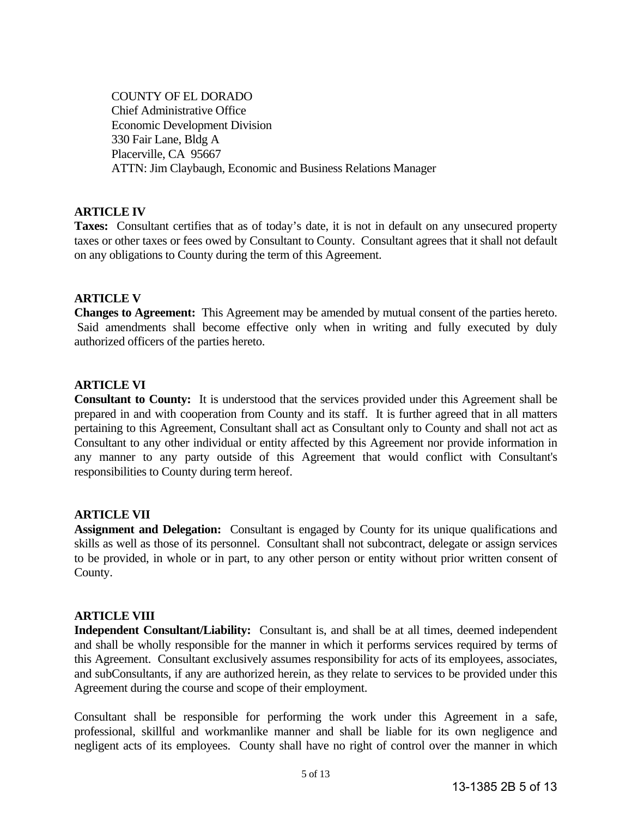COUNTY OF EL DORADO Chief Administrative Office Economic Development Division 330 Fair Lane, Bldg A Placerville, CA 95667 ATTN: Jim Claybaugh, Economic and Business Relations Manager

## **ARTICLE IV**

**Taxes:** Consultant certifies that as of today's date, it is not in default on any unsecured property taxes or other taxes or fees owed by Consultant to County. Consultant agrees that it shall not default on any obligations to County during the term of this Agreement.

## **ARTICLE V**

**Changes to Agreement:** This Agreement may be amended by mutual consent of the parties hereto. Said amendments shall become effective only when in writing and fully executed by duly authorized officers of the parties hereto.

## **ARTICLE VI**

**Consultant to County:** It is understood that the services provided under this Agreement shall be prepared in and with cooperation from County and its staff. It is further agreed that in all matters pertaining to this Agreement, Consultant shall act as Consultant only to County and shall not act as Consultant to any other individual or entity affected by this Agreement nor provide information in any manner to any party outside of this Agreement that would conflict with Consultant's responsibilities to County during term hereof.

## **ARTICLE VII**

**Assignment and Delegation:** Consultant is engaged by County for its unique qualifications and skills as well as those of its personnel. Consultant shall not subcontract, delegate or assign services to be provided, in whole or in part, to any other person or entity without prior written consent of County.

## **ARTICLE VIII**

**Independent Consultant/Liability:** Consultant is, and shall be at all times, deemed independent and shall be wholly responsible for the manner in which it performs services required by terms of this Agreement. Consultant exclusively assumes responsibility for acts of its employees, associates, and subConsultants, if any are authorized herein, as they relate to services to be provided under this Agreement during the course and scope of their employment.

Consultant shall be responsible for performing the work under this Agreement in a safe, professional, skillful and workmanlike manner and shall be liable for its own negligence and negligent acts of its employees. County shall have no right of control over the manner in which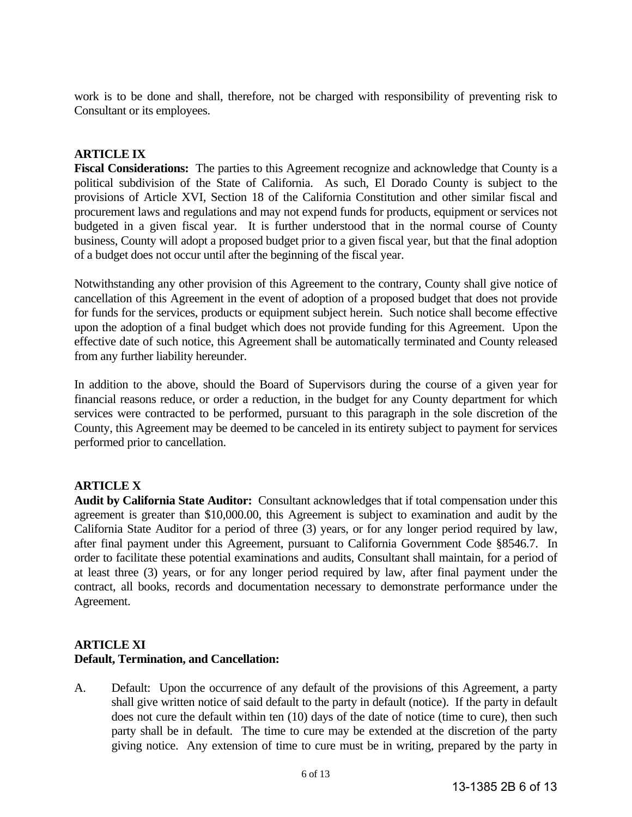work is to be done and shall, therefore, not be charged with responsibility of preventing risk to Consultant or its employees.

## **ARTICLE IX**

**Fiscal Considerations:** The parties to this Agreement recognize and acknowledge that County is a political subdivision of the State of California. As such, El Dorado County is subject to the provisions of Article XVI, Section 18 of the California Constitution and other similar fiscal and procurement laws and regulations and may not expend funds for products, equipment or services not budgeted in a given fiscal year. It is further understood that in the normal course of County business, County will adopt a proposed budget prior to a given fiscal year, but that the final adoption of a budget does not occur until after the beginning of the fiscal year.

Notwithstanding any other provision of this Agreement to the contrary, County shall give notice of cancellation of this Agreement in the event of adoption of a proposed budget that does not provide for funds for the services, products or equipment subject herein. Such notice shall become effective upon the adoption of a final budget which does not provide funding for this Agreement. Upon the effective date of such notice, this Agreement shall be automatically terminated and County released from any further liability hereunder.

In addition to the above, should the Board of Supervisors during the course of a given year for financial reasons reduce, or order a reduction, in the budget for any County department for which services were contracted to be performed, pursuant to this paragraph in the sole discretion of the County, this Agreement may be deemed to be canceled in its entirety subject to payment for services performed prior to cancellation.

## **ARTICLE X**

**Audit by California State Auditor:** Consultant acknowledges that if total compensation under this agreement is greater than \$10,000.00, this Agreement is subject to examination and audit by the California State Auditor for a period of three (3) years, or for any longer period required by law, after final payment under this Agreement, pursuant to California Government Code §8546.7. In order to facilitate these potential examinations and audits, Consultant shall maintain, for a period of at least three (3) years, or for any longer period required by law, after final payment under the contract, all books, records and documentation necessary to demonstrate performance under the Agreement.

## **ARTICLE XI Default, Termination, and Cancellation:**

A. Default: Upon the occurrence of any default of the provisions of this Agreement, a party shall give written notice of said default to the party in default (notice). If the party in default does not cure the default within ten (10) days of the date of notice (time to cure), then such party shall be in default. The time to cure may be extended at the discretion of the party giving notice. Any extension of time to cure must be in writing, prepared by the party in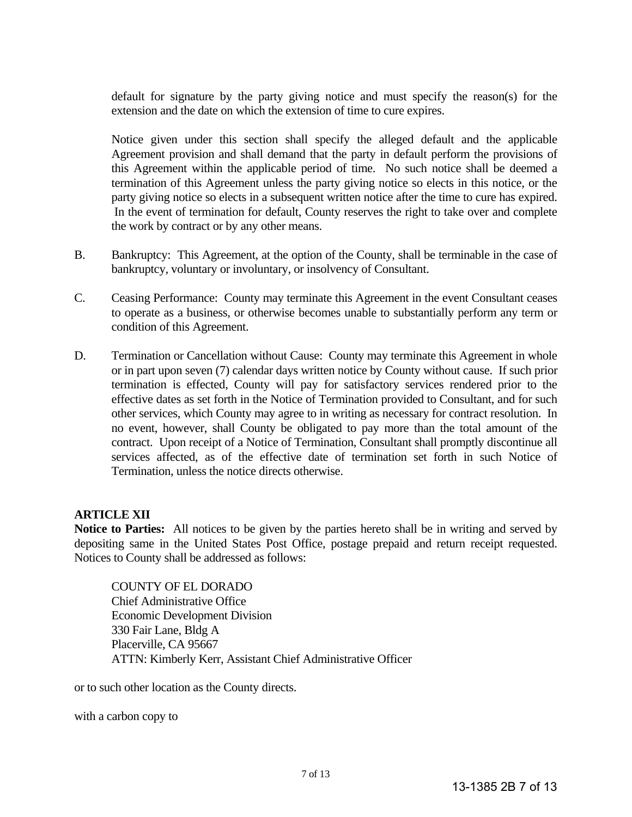default for signature by the party giving notice and must specify the reason(s) for the extension and the date on which the extension of time to cure expires.

 Notice given under this section shall specify the alleged default and the applicable Agreement provision and shall demand that the party in default perform the provisions of this Agreement within the applicable period of time. No such notice shall be deemed a termination of this Agreement unless the party giving notice so elects in this notice, or the party giving notice so elects in a subsequent written notice after the time to cure has expired. In the event of termination for default, County reserves the right to take over and complete the work by contract or by any other means.

- B. Bankruptcy: This Agreement, at the option of the County, shall be terminable in the case of bankruptcy, voluntary or involuntary, or insolvency of Consultant.
- C. Ceasing Performance: County may terminate this Agreement in the event Consultant ceases to operate as a business, or otherwise becomes unable to substantially perform any term or condition of this Agreement.
- D. Termination or Cancellation without Cause: County may terminate this Agreement in whole or in part upon seven (7) calendar days written notice by County without cause. If such prior termination is effected, County will pay for satisfactory services rendered prior to the effective dates as set forth in the Notice of Termination provided to Consultant, and for such other services, which County may agree to in writing as necessary for contract resolution. In no event, however, shall County be obligated to pay more than the total amount of the contract. Upon receipt of a Notice of Termination, Consultant shall promptly discontinue all services affected, as of the effective date of termination set forth in such Notice of Termination, unless the notice directs otherwise.

## **ARTICLE XII**

**Notice to Parties:** All notices to be given by the parties hereto shall be in writing and served by depositing same in the United States Post Office, postage prepaid and return receipt requested. Notices to County shall be addressed as follows:

COUNTY OF EL DORADO Chief Administrative Office Economic Development Division 330 Fair Lane, Bldg A Placerville, CA 95667 ATTN: Kimberly Kerr, Assistant Chief Administrative Officer

or to such other location as the County directs.

with a carbon copy to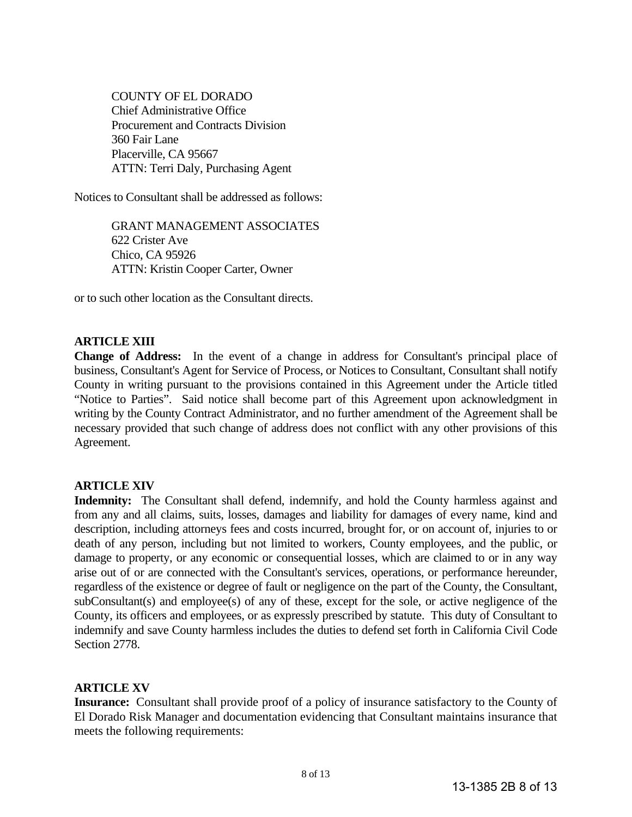COUNTY OF EL DORADO Chief Administrative Office Procurement and Contracts Division 360 Fair Lane Placerville, CA 95667 ATTN: Terri Daly, Purchasing Agent

Notices to Consultant shall be addressed as follows:

GRANT MANAGEMENT ASSOCIATES 622 Crister Ave Chico, CA 95926 ATTN: Kristin Cooper Carter, Owner

or to such other location as the Consultant directs.

## **ARTICLE XIII**

**Change of Address:** In the event of a change in address for Consultant's principal place of business, Consultant's Agent for Service of Process, or Notices to Consultant, Consultant shall notify County in writing pursuant to the provisions contained in this Agreement under the Article titled "Notice to Parties". Said notice shall become part of this Agreement upon acknowledgment in writing by the County Contract Administrator, and no further amendment of the Agreement shall be necessary provided that such change of address does not conflict with any other provisions of this Agreement.

## **ARTICLE XIV**

**Indemnity:** The Consultant shall defend, indemnify, and hold the County harmless against and from any and all claims, suits, losses, damages and liability for damages of every name, kind and description, including attorneys fees and costs incurred, brought for, or on account of, injuries to or death of any person, including but not limited to workers, County employees, and the public, or damage to property, or any economic or consequential losses, which are claimed to or in any way arise out of or are connected with the Consultant's services, operations, or performance hereunder, regardless of the existence or degree of fault or negligence on the part of the County, the Consultant, subConsultant(s) and employee(s) of any of these, except for the sole, or active negligence of the County, its officers and employees, or as expressly prescribed by statute. This duty of Consultant to indemnify and save County harmless includes the duties to defend set forth in California Civil Code Section 2778.

## **ARTICLE XV**

**Insurance:** Consultant shall provide proof of a policy of insurance satisfactory to the County of El Dorado Risk Manager and documentation evidencing that Consultant maintains insurance that meets the following requirements: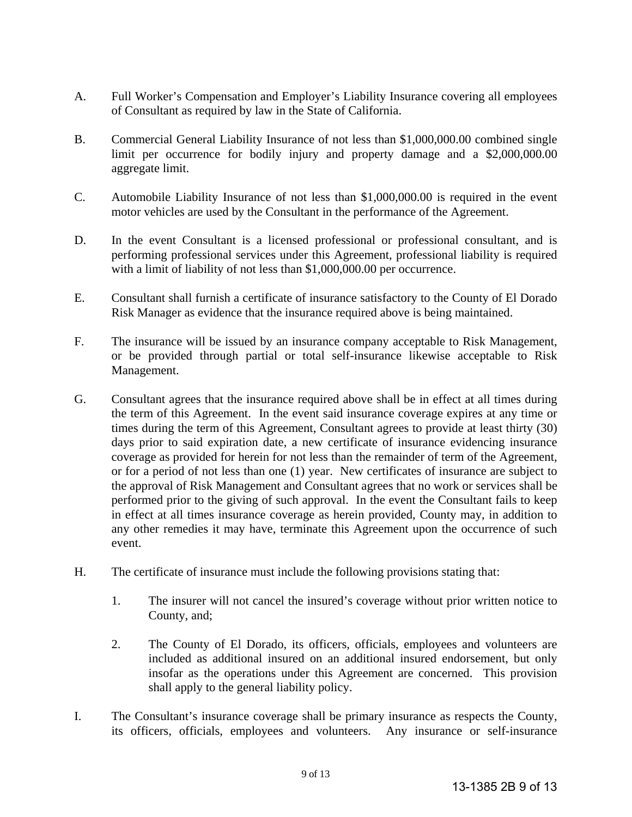- A. Full Worker's Compensation and Employer's Liability Insurance covering all employees of Consultant as required by law in the State of California.
- B. Commercial General Liability Insurance of not less than \$1,000,000.00 combined single limit per occurrence for bodily injury and property damage and a \$2,000,000.00 aggregate limit.
- C. Automobile Liability Insurance of not less than \$1,000,000.00 is required in the event motor vehicles are used by the Consultant in the performance of the Agreement.
- D. In the event Consultant is a licensed professional or professional consultant, and is performing professional services under this Agreement, professional liability is required with a limit of liability of not less than \$1,000,000.00 per occurrence.
- E. Consultant shall furnish a certificate of insurance satisfactory to the County of El Dorado Risk Manager as evidence that the insurance required above is being maintained.
- F. The insurance will be issued by an insurance company acceptable to Risk Management, or be provided through partial or total self-insurance likewise acceptable to Risk Management.
- G. Consultant agrees that the insurance required above shall be in effect at all times during the term of this Agreement. In the event said insurance coverage expires at any time or times during the term of this Agreement, Consultant agrees to provide at least thirty (30) days prior to said expiration date, a new certificate of insurance evidencing insurance coverage as provided for herein for not less than the remainder of term of the Agreement, or for a period of not less than one (1) year. New certificates of insurance are subject to the approval of Risk Management and Consultant agrees that no work or services shall be performed prior to the giving of such approval. In the event the Consultant fails to keep in effect at all times insurance coverage as herein provided, County may, in addition to any other remedies it may have, terminate this Agreement upon the occurrence of such event.
- H. The certificate of insurance must include the following provisions stating that:
	- 1. The insurer will not cancel the insured's coverage without prior written notice to County, and;
	- 2. The County of El Dorado, its officers, officials, employees and volunteers are included as additional insured on an additional insured endorsement, but only insofar as the operations under this Agreement are concerned. This provision shall apply to the general liability policy.
- I. The Consultant's insurance coverage shall be primary insurance as respects the County, its officers, officials, employees and volunteers. Any insurance or self-insurance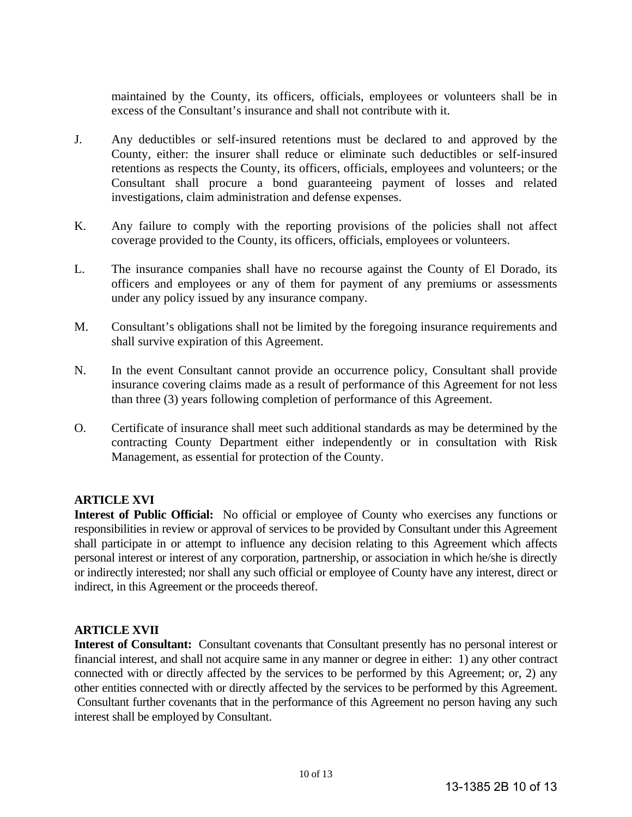maintained by the County, its officers, officials, employees or volunteers shall be in excess of the Consultant's insurance and shall not contribute with it.

- J. Any deductibles or self-insured retentions must be declared to and approved by the County, either: the insurer shall reduce or eliminate such deductibles or self-insured retentions as respects the County, its officers, officials, employees and volunteers; or the Consultant shall procure a bond guaranteeing payment of losses and related investigations, claim administration and defense expenses.
- K. Any failure to comply with the reporting provisions of the policies shall not affect coverage provided to the County, its officers, officials, employees or volunteers.
- L. The insurance companies shall have no recourse against the County of El Dorado, its officers and employees or any of them for payment of any premiums or assessments under any policy issued by any insurance company.
- M. Consultant's obligations shall not be limited by the foregoing insurance requirements and shall survive expiration of this Agreement.
- N. In the event Consultant cannot provide an occurrence policy, Consultant shall provide insurance covering claims made as a result of performance of this Agreement for not less than three (3) years following completion of performance of this Agreement.
- O. Certificate of insurance shall meet such additional standards as may be determined by the contracting County Department either independently or in consultation with Risk Management, as essential for protection of the County.

## **ARTICLE XVI**

**Interest of Public Official:** No official or employee of County who exercises any functions or responsibilities in review or approval of services to be provided by Consultant under this Agreement shall participate in or attempt to influence any decision relating to this Agreement which affects personal interest or interest of any corporation, partnership, or association in which he/she is directly or indirectly interested; nor shall any such official or employee of County have any interest, direct or indirect, in this Agreement or the proceeds thereof.

## **ARTICLE XVII**

**Interest of Consultant:** Consultant covenants that Consultant presently has no personal interest or financial interest, and shall not acquire same in any manner or degree in either: 1) any other contract connected with or directly affected by the services to be performed by this Agreement; or, 2) any other entities connected with or directly affected by the services to be performed by this Agreement. Consultant further covenants that in the performance of this Agreement no person having any such interest shall be employed by Consultant.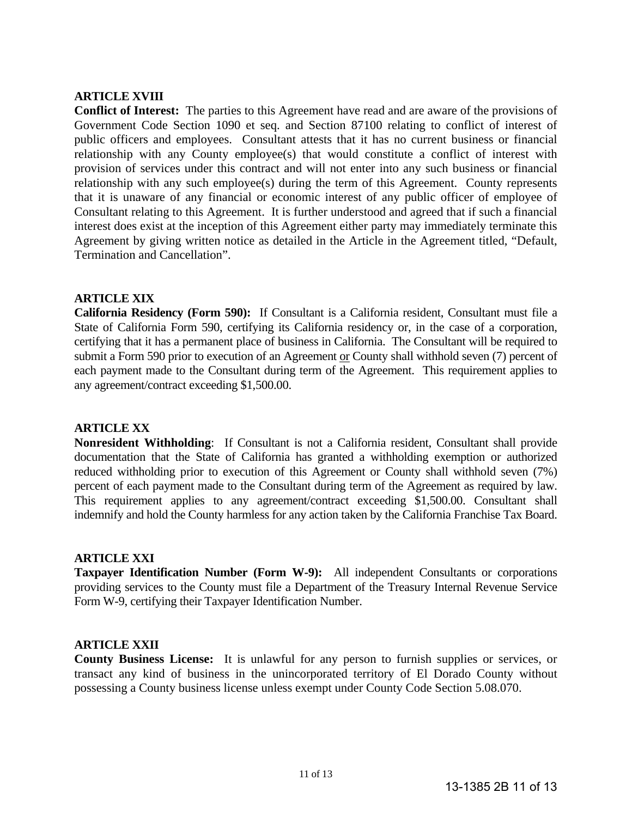## **ARTICLE XVIII**

**Conflict of Interest:** The parties to this Agreement have read and are aware of the provisions of Government Code Section 1090 et seq. and Section 87100 relating to conflict of interest of public officers and employees. Consultant attests that it has no current business or financial relationship with any County employee(s) that would constitute a conflict of interest with provision of services under this contract and will not enter into any such business or financial relationship with any such employee(s) during the term of this Agreement. County represents that it is unaware of any financial or economic interest of any public officer of employee of Consultant relating to this Agreement. It is further understood and agreed that if such a financial interest does exist at the inception of this Agreement either party may immediately terminate this Agreement by giving written notice as detailed in the Article in the Agreement titled, "Default, Termination and Cancellation".

## **ARTICLE XIX**

**California Residency (Form 590):** If Consultant is a California resident, Consultant must file a State of California Form 590, certifying its California residency or, in the case of a corporation, certifying that it has a permanent place of business in California. The Consultant will be required to submit a Form 590 prior to execution of an Agreement or County shall withhold seven (7) percent of each payment made to the Consultant during term of the Agreement. This requirement applies to any agreement/contract exceeding \$1,500.00.

## **ARTICLE XX**

**Nonresident Withholding**: If Consultant is not a California resident, Consultant shall provide documentation that the State of California has granted a withholding exemption or authorized reduced withholding prior to execution of this Agreement or County shall withhold seven (7%) percent of each payment made to the Consultant during term of the Agreement as required by law. This requirement applies to any agreement/contract exceeding \$1,500.00. Consultant shall indemnify and hold the County harmless for any action taken by the California Franchise Tax Board.

#### **ARTICLE XXI**

**Taxpayer Identification Number (Form W-9):** All independent Consultants or corporations providing services to the County must file a Department of the Treasury Internal Revenue Service Form W-9, certifying their Taxpayer Identification Number.

## **ARTICLE XXII**

**County Business License:** It is unlawful for any person to furnish supplies or services, or transact any kind of business in the unincorporated territory of El Dorado County without possessing a County business license unless exempt under County Code Section 5.08.070.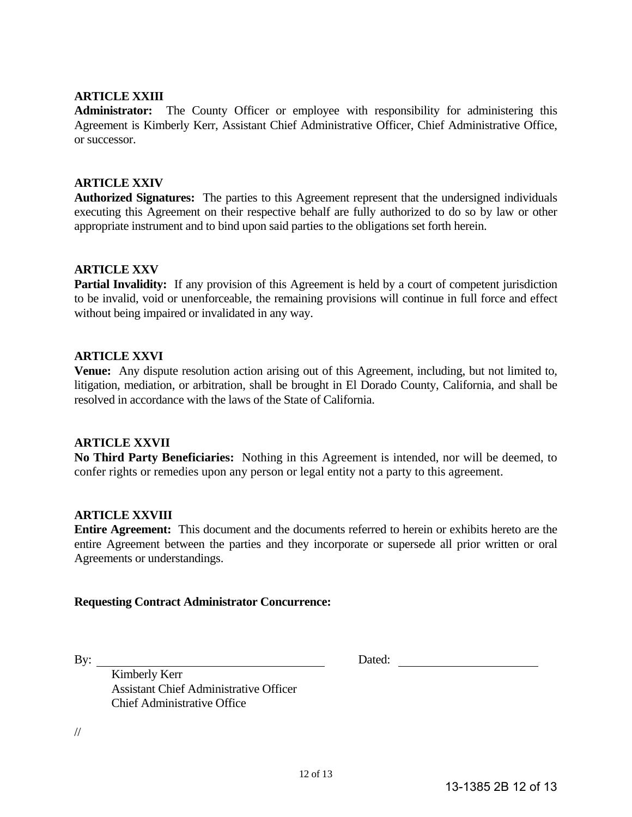## **ARTICLE XXIII**

**Administrator:** The County Officer or employee with responsibility for administering this Agreement is Kimberly Kerr, Assistant Chief Administrative Officer, Chief Administrative Office, or successor.

## **ARTICLE XXIV**

**Authorized Signatures:** The parties to this Agreement represent that the undersigned individuals executing this Agreement on their respective behalf are fully authorized to do so by law or other appropriate instrument and to bind upon said parties to the obligations set forth herein.

## **ARTICLE XXV**

**Partial Invalidity:** If any provision of this Agreement is held by a court of competent jurisdiction to be invalid, void or unenforceable, the remaining provisions will continue in full force and effect without being impaired or invalidated in any way.

## **ARTICLE XXVI**

**Venue:** Any dispute resolution action arising out of this Agreement, including, but not limited to, litigation, mediation, or arbitration, shall be brought in El Dorado County, California, and shall be resolved in accordance with the laws of the State of California.

## **ARTICLE XXVII**

**No Third Party Beneficiaries:** Nothing in this Agreement is intended, nor will be deemed, to confer rights or remedies upon any person or legal entity not a party to this agreement.

#### **ARTICLE XXVIII**

**Entire Agreement:** This document and the documents referred to herein or exhibits hereto are the entire Agreement between the parties and they incorporate or supersede all prior written or oral Agreements or understandings.

## **Requesting Contract Administrator Concurrence:**

By: Dated: Dated:

 Kimberly Kerr Assistant Chief Administrative Officer Chief Administrative Office

//